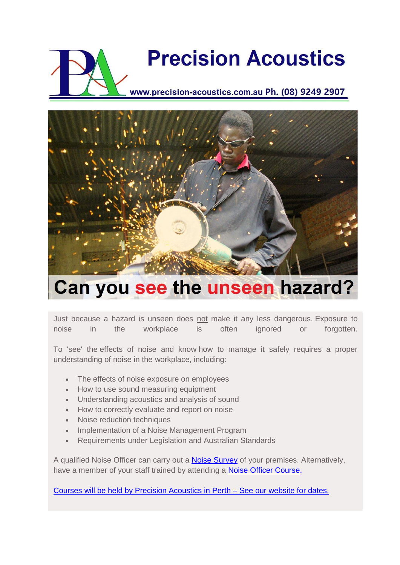## **Precision Acoustics**

www.precision-acoustics.com.au Ph. (08) 9249 2907



## Can you see the unseen hazard?

Just because a hazard is unseen does not make it any less dangerous. Exposure to noise in the workplace is often ignored or forgotten.

To 'see' the effects of noise and know how to manage it safely requires a proper understanding of noise in the workplace, including:

- The effects of noise exposure on employees
- How to use sound measuring equipment
- Understanding acoustics and analysis of sound
- How to correctly evaluate and report on noise
- Noise reduction techniques
- Implementation of a Noise Management Program
- Requirements under Legislation and Australian Standards

A qualified Noise Officer can carry out a **Noise Survey** of your premises. Alternatively, have a member of your staff trained by attending a [Noise Officer Course.](http://www.precision-acoustics.com.au/training-courses/dmp-approved-noise-officer-training-course)

[Courses will be held by Precision Acoustics in Perth –](http://www.precision-acoustics.com.au/training-courses/dmp-approved-noise-officer-training-course) See our website for dates.